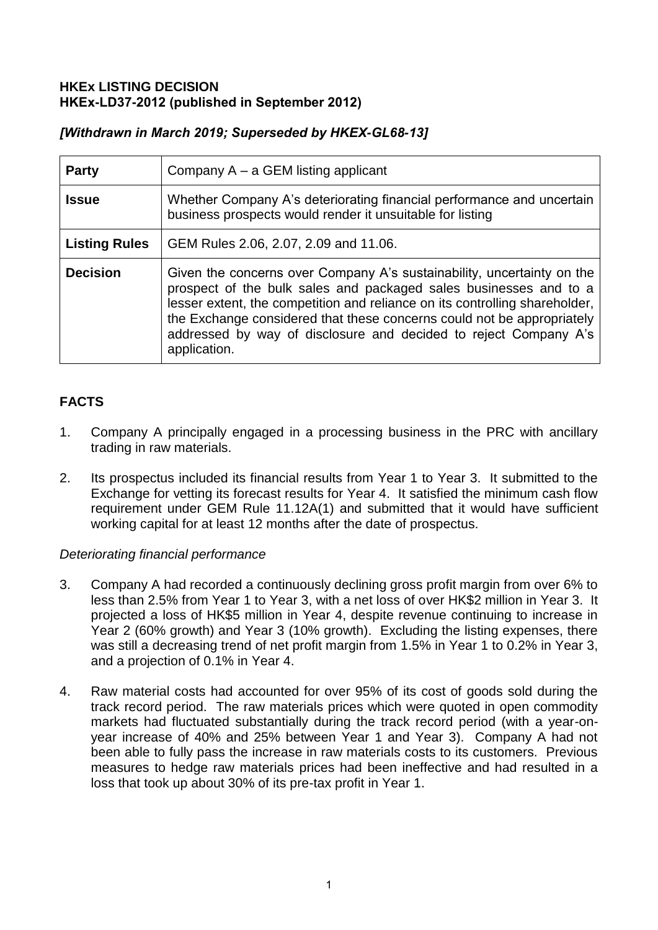## **HKEx LISTING DECISION HKEx-LD37-2012 (published in September 2012)**

# *[Withdrawn in March 2019; Superseded by HKEX-GL68-13]*

| <b>Party</b>         | Company $A - a$ GEM listing applicant                                                                                                                                                                                                                                                                                                                                                    |
|----------------------|------------------------------------------------------------------------------------------------------------------------------------------------------------------------------------------------------------------------------------------------------------------------------------------------------------------------------------------------------------------------------------------|
| <b>Issue</b>         | Whether Company A's deteriorating financial performance and uncertain<br>business prospects would render it unsuitable for listing                                                                                                                                                                                                                                                       |
| <b>Listing Rules</b> | GEM Rules 2.06, 2.07, 2.09 and 11.06.                                                                                                                                                                                                                                                                                                                                                    |
| <b>Decision</b>      | Given the concerns over Company A's sustainability, uncertainty on the<br>prospect of the bulk sales and packaged sales businesses and to a<br>lesser extent, the competition and reliance on its controlling shareholder,<br>the Exchange considered that these concerns could not be appropriately<br>addressed by way of disclosure and decided to reject Company A's<br>application. |

# **FACTS**

- 1. Company A principally engaged in a processing business in the PRC with ancillary trading in raw materials.
- 2. Its prospectus included its financial results from Year 1 to Year 3. It submitted to the Exchange for vetting its forecast results for Year 4. It satisfied the minimum cash flow requirement under GEM Rule 11.12A(1) and submitted that it would have sufficient working capital for at least 12 months after the date of prospectus.

# *Deteriorating financial performance*

- 3. Company A had recorded a continuously declining gross profit margin from over 6% to less than 2.5% from Year 1 to Year 3, with a net loss of over HK\$2 million in Year 3. It projected a loss of HK\$5 million in Year 4, despite revenue continuing to increase in Year 2 (60% growth) and Year 3 (10% growth). Excluding the listing expenses, there was still a decreasing trend of net profit margin from 1.5% in Year 1 to 0.2% in Year 3, and a projection of 0.1% in Year 4.
- 4. Raw material costs had accounted for over 95% of its cost of goods sold during the track record period. The raw materials prices which were quoted in open commodity markets had fluctuated substantially during the track record period (with a year-onyear increase of 40% and 25% between Year 1 and Year 3). Company A had not been able to fully pass the increase in raw materials costs to its customers. Previous measures to hedge raw materials prices had been ineffective and had resulted in a loss that took up about 30% of its pre-tax profit in Year 1.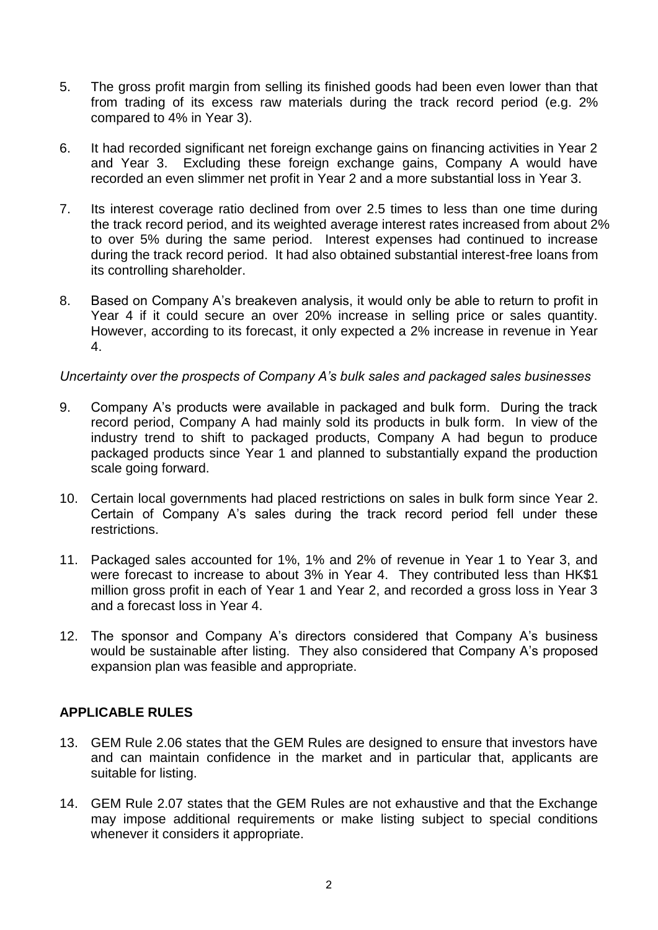- 5. The gross profit margin from selling its finished goods had been even lower than that from trading of its excess raw materials during the track record period (e.g. 2% compared to 4% in Year 3).
- 6. It had recorded significant net foreign exchange gains on financing activities in Year 2 and Year 3. Excluding these foreign exchange gains, Company A would have recorded an even slimmer net profit in Year 2 and a more substantial loss in Year 3.
- 7. Its interest coverage ratio declined from over 2.5 times to less than one time during the track record period, and its weighted average interest rates increased from about 2% to over 5% during the same period. Interest expenses had continued to increase during the track record period. It had also obtained substantial interest-free loans from its controlling shareholder.
- 8. Based on Company A's breakeven analysis, it would only be able to return to profit in Year 4 if it could secure an over 20% increase in selling price or sales quantity. However, according to its forecast, it only expected a 2% increase in revenue in Year 4.

### *Uncertainty over the prospects of Company A's bulk sales and packaged sales businesses*

- 9. Company A's products were available in packaged and bulk form. During the track record period, Company A had mainly sold its products in bulk form. In view of the industry trend to shift to packaged products, Company A had begun to produce packaged products since Year 1 and planned to substantially expand the production scale going forward.
- 10. Certain local governments had placed restrictions on sales in bulk form since Year 2. Certain of Company A's sales during the track record period fell under these restrictions.
- 11. Packaged sales accounted for 1%, 1% and 2% of revenue in Year 1 to Year 3, and were forecast to increase to about 3% in Year 4. They contributed less than HK\$1 million gross profit in each of Year 1 and Year 2, and recorded a gross loss in Year 3 and a forecast loss in Year 4.
- 12. The sponsor and Company A's directors considered that Company A's business would be sustainable after listing. They also considered that Company A's proposed expansion plan was feasible and appropriate.

### **APPLICABLE RULES**

- 13. GEM Rule 2.06 states that the GEM Rules are designed to ensure that investors have and can maintain confidence in the market and in particular that, applicants are suitable for listing.
- 14. GEM Rule 2.07 states that the GEM Rules are not exhaustive and that the Exchange may impose additional requirements or make listing subject to special conditions whenever it considers it appropriate.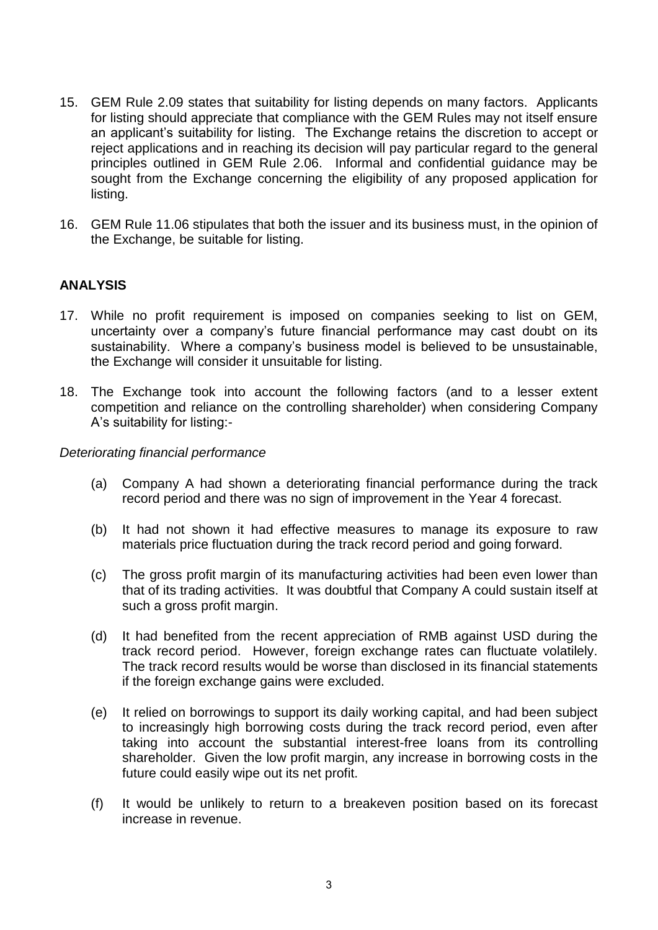- 15. GEM Rule 2.09 states that suitability for listing depends on many factors. Applicants for listing should appreciate that compliance with the GEM Rules may not itself ensure an applicant's suitability for listing. The Exchange retains the discretion to accept or reject applications and in reaching its decision will pay particular regard to the general principles outlined in GEM Rule 2.06. Informal and confidential guidance may be sought from the Exchange concerning the eligibility of any proposed application for listing.
- 16. GEM Rule 11.06 stipulates that both the issuer and its business must, in the opinion of the Exchange, be suitable for listing.

# **ANALYSIS**

- 17. While no profit requirement is imposed on companies seeking to list on GEM, uncertainty over a company's future financial performance may cast doubt on its sustainability. Where a company's business model is believed to be unsustainable, the Exchange will consider it unsuitable for listing.
- 18. The Exchange took into account the following factors (and to a lesser extent competition and reliance on the controlling shareholder) when considering Company A's suitability for listing:-

#### *Deteriorating financial performance*

- (a) Company A had shown a deteriorating financial performance during the track record period and there was no sign of improvement in the Year 4 forecast.
- (b) It had not shown it had effective measures to manage its exposure to raw materials price fluctuation during the track record period and going forward.
- (c) The gross profit margin of its manufacturing activities had been even lower than that of its trading activities. It was doubtful that Company A could sustain itself at such a gross profit margin.
- (d) It had benefited from the recent appreciation of RMB against USD during the track record period. However, foreign exchange rates can fluctuate volatilely. The track record results would be worse than disclosed in its financial statements if the foreign exchange gains were excluded.
- (e) It relied on borrowings to support its daily working capital, and had been subject to increasingly high borrowing costs during the track record period, even after taking into account the substantial interest-free loans from its controlling shareholder. Given the low profit margin, any increase in borrowing costs in the future could easily wipe out its net profit.
- (f) It would be unlikely to return to a breakeven position based on its forecast increase in revenue.